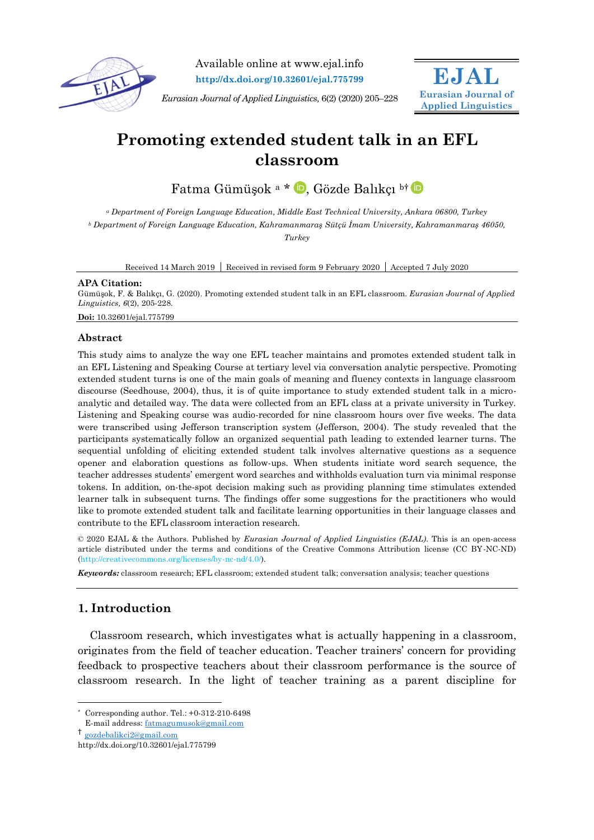

Available online at www.ejal.info **http://dx.doi.org/10.32601/ejal.775799**

*Eurasian Journal of Applied Linguistics,* 6(2) (2020) 205–228



# **Promoting extended student talk in an EFL classroom**

Fatma Gümüşok a \* D[,](https://orcid.org/0000-0002-4804-8279) Gözde Balıkçı bi D

*<sup>a</sup> Department of Foreign Language Education, Middle East Technical University, Ankara 06800, Turkey <sup>b</sup> Department of Foreign Language Education, Kahramanmaraş Sütçü İmam University, Kahramanmaraş 46050, Turkey*

Received 14 March 2019 Received in revised form 9 February 2020 Accepted 7 July 2020

## **APA Citation:**

Gümüşok, F. & Balıkçı, G. (2020). Promoting extended student talk in an EFL classroom. *Eurasian Journal of Applied Linguistics, 6*(2), 205-228.

## **Doi:** 10.32601/ejal.775799

# **Abstract**

This study aims to analyze the way one EFL teacher maintains and promotes extended student talk in an EFL Listening and Speaking Course at tertiary level via conversation analytic perspective. Promoting extended student turns is one of the main goals of meaning and fluency contexts in language classroom discourse (Seedhouse, 2004), thus, it is of quite importance to study extended student talk in a microanalytic and detailed way. The data were collected from an EFL class at a private university in Turkey. Listening and Speaking course was audio-recorded for nine classroom hours over five weeks. The data were transcribed using Jefferson transcription system (Jefferson, 2004). The study revealed that the participants systematically follow an organized sequential path leading to extended learner turns. The sequential unfolding of eliciting extended student talk involves alternative questions as a sequence opener and elaboration questions as follow-ups. When students initiate word search sequence, the teacher addresses students' emergent word searches and withholds evaluation turn via minimal response tokens. In addition, on-the-spot decision making such as providing planning time stimulates extended learner talk in subsequent turns. The findings offer some suggestions for the practitioners who would like to promote extended student talk and facilitate learning opportunities in their language classes and contribute to the EFL classroom interaction research.

© 2020 EJAL & the Authors. Published by *Eurasian Journal of Applied Linguistics (EJAL)*. This is an open-access article distributed under the terms and conditions of the Creative Commons Attribution license (CC BY-NC-ND) (http://creativecommons.org/licenses/by-nc-nd/4.0/).

*Keywords:* classroom research; EFL classroom; extended student talk; conversation analysis; teacher questions

# **1. Introduction**

Classroom research, which investigates what is actually happening in a classroom, originates from the field of teacher education. Teacher trainers' concern for providing feedback to prospective teachers about their classroom performance is the source of classroom research. In the light of teacher training as a parent discipline for

-

<sup>\*</sup> Corresponding author. Tel.: +0-312-210-6498

E-mail address[: fatmagumusok@gmail.com](mailto:fatmagumusok@gmail.com)

<sup>†</sup> [gozdebalikci2@gmail.com](mailto:gozdebalikci2@gmail.com)

http://dx.doi.org/10.32601/ejal.775799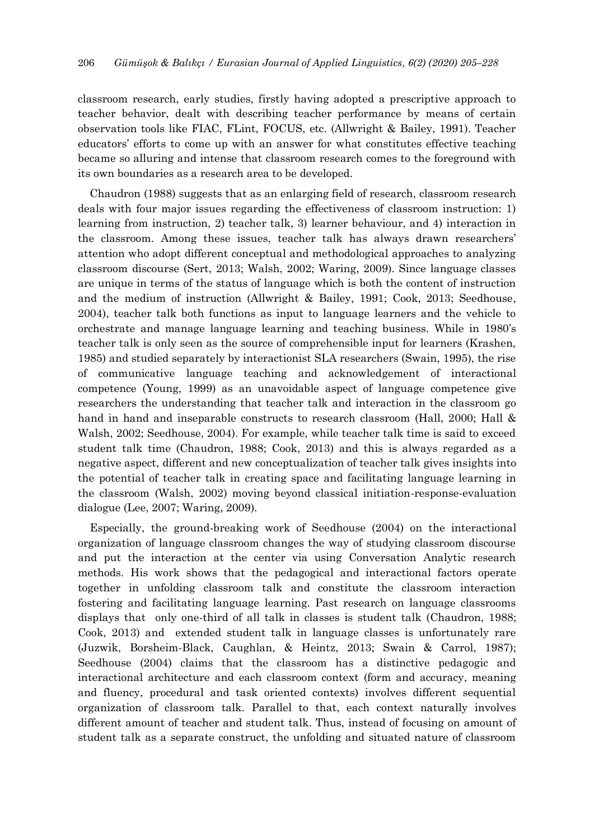classroom research, early studies, firstly having adopted a prescriptive approach to teacher behavior, dealt with describing teacher performance by means of certain observation tools like FIAC, FLint, FOCUS, etc. (Allwright & Bailey, 1991). Teacher educators' efforts to come up with an answer for what constitutes effective teaching became so alluring and intense that classroom research comes to the foreground with its own boundaries as a research area to be developed.

Chaudron (1988) suggests that as an enlarging field of research, classroom research deals with four major issues regarding the effectiveness of classroom instruction: 1) learning from instruction, 2) teacher talk, 3) learner behaviour, and 4) interaction in the classroom. Among these issues, teacher talk has always drawn researchers' attention who adopt different conceptual and methodological approaches to analyzing classroom discourse (Sert, 2013; Walsh, 2002; Waring, 2009). Since language classes are unique in terms of the status of language which is both the content of instruction and the medium of instruction (Allwright & Bailey, 1991; Cook, 2013; Seedhouse, 2004), teacher talk both functions as input to language learners and the vehicle to orchestrate and manage language learning and teaching business. While in 1980's teacher talk is only seen as the source of comprehensible input for learners (Krashen, 1985) and studied separately by interactionist SLA researchers (Swain, 1995), the rise of communicative language teaching and acknowledgement of interactional competence (Young, 1999) as an unavoidable aspect of language competence give researchers the understanding that teacher talk and interaction in the classroom go hand in hand and inseparable constructs to research classroom (Hall, 2000; Hall & Walsh, 2002; Seedhouse, 2004). For example, while teacher talk time is said to exceed student talk time (Chaudron, 1988; Cook, 2013) and this is always regarded as a negative aspect, different and new conceptualization of teacher talk gives insights into the potential of teacher talk in creating space and facilitating language learning in the classroom (Walsh, 2002) moving beyond classical initiation-response-evaluation dialogue (Lee, 2007; Waring, 2009).

Especially, the ground-breaking work of Seedhouse (2004) on the interactional organization of language classroom changes the way of studying classroom discourse and put the interaction at the center via using Conversation Analytic research methods. His work shows that the pedagogical and interactional factors operate together in unfolding classroom talk and constitute the classroom interaction fostering and facilitating language learning. Past research on language classrooms displays that only one-third of all talk in classes is student talk (Chaudron, 1988; Cook, 2013) and extended student talk in language classes is unfortunately rare (Juzwik, Borsheim-Black, Caughlan, & Heintz, 2013; Swain & Carrol, 1987); Seedhouse (2004) claims that the classroom has a distinctive pedagogic and interactional architecture and each classroom context (form and accuracy, meaning and fluency, procedural and task oriented contexts) involves different sequential organization of classroom talk. Parallel to that, each context naturally involves different amount of teacher and student talk. Thus, instead of focusing on amount of student talk as a separate construct, the unfolding and situated nature of classroom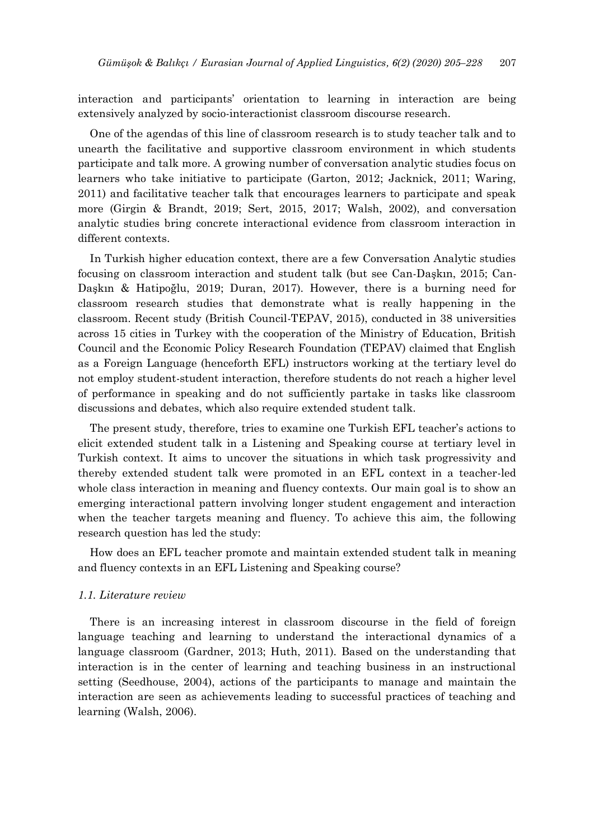interaction and participants' orientation to learning in interaction are being extensively analyzed by socio-interactionist classroom discourse research.

One of the agendas of this line of classroom research is to study teacher talk and to unearth the facilitative and supportive classroom environment in which students participate and talk more. A growing number of conversation analytic studies focus on learners who take initiative to participate (Garton, 2012; Jacknick, 2011; Waring, 2011) and facilitative teacher talk that encourages learners to participate and speak more (Girgin & Brandt, 2019; Sert, 2015, 2017; Walsh, 2002), and conversation analytic studies bring concrete interactional evidence from classroom interaction in different contexts.

In Turkish higher education context, there are a few Conversation Analytic studies focusing on classroom interaction and student talk (but see Can-Daşkın, 2015; Can-Daşkın & Hatipoğlu, 2019; Duran, 2017). However, there is a burning need for classroom research studies that demonstrate what is really happening in the classroom. Recent study (British Council-TEPAV, 2015), conducted in 38 universities across 15 cities in Turkey with the cooperation of the Ministry of Education, British Council and the Economic Policy Research Foundation (TEPAV) claimed that English as a Foreign Language (henceforth EFL) instructors working at the tertiary level do not employ student-student interaction, therefore students do not reach a higher level of performance in speaking and do not sufficiently partake in tasks like classroom discussions and debates, which also require extended student talk.

The present study, therefore, tries to examine one Turkish EFL teacher's actions to elicit extended student talk in a Listening and Speaking course at tertiary level in Turkish context. It aims to uncover the situations in which task progressivity and thereby extended student talk were promoted in an EFL context in a teacher-led whole class interaction in meaning and fluency contexts. Our main goal is to show an emerging interactional pattern involving longer student engagement and interaction when the teacher targets meaning and fluency. To achieve this aim, the following research question has led the study:

How does an EFL teacher promote and maintain extended student talk in meaning and fluency contexts in an EFL Listening and Speaking course?

#### *1.1. Literature review*

There is an increasing interest in classroom discourse in the field of foreign language teaching and learning to understand the interactional dynamics of a language classroom (Gardner, 2013; Huth, 2011). Based on the understanding that interaction is in the center of learning and teaching business in an instructional setting (Seedhouse, 2004), actions of the participants to manage and maintain the interaction are seen as achievements leading to successful practices of teaching and learning (Walsh, 2006).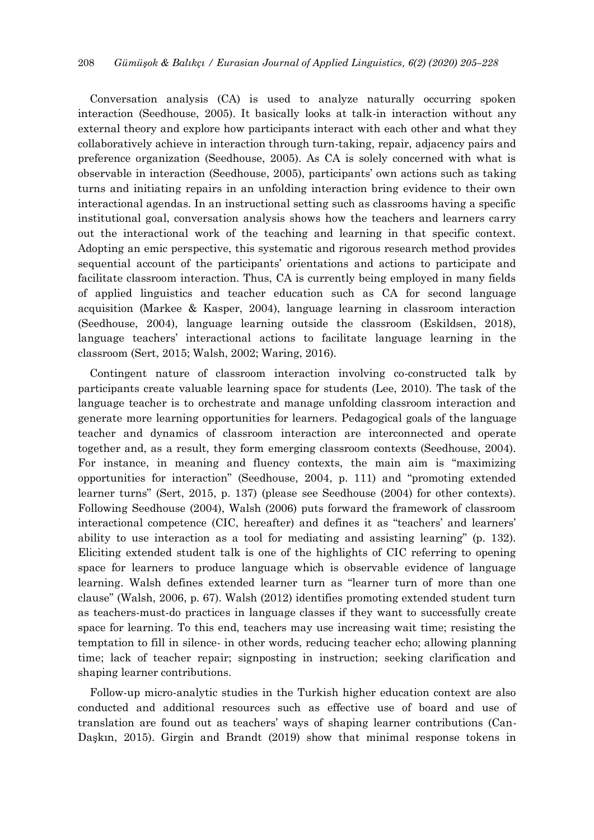Conversation analysis (CA) is used to analyze naturally occurring spoken interaction (Seedhouse, 2005). It basically looks at talk-in interaction without any external theory and explore how participants interact with each other and what they collaboratively achieve in interaction through turn-taking, repair, adjacency pairs and preference organization (Seedhouse, 2005). As CA is solely concerned with what is observable in interaction (Seedhouse, 2005), participants' own actions such as taking turns and initiating repairs in an unfolding interaction bring evidence to their own interactional agendas. In an instructional setting such as classrooms having a specific institutional goal, conversation analysis shows how the teachers and learners carry out the interactional work of the teaching and learning in that specific context. Adopting an emic perspective, this systematic and rigorous research method provides sequential account of the participants' orientations and actions to participate and facilitate classroom interaction. Thus, CA is currently being employed in many fields of applied linguistics and teacher education such as CA for second language acquisition (Markee & Kasper, 2004), language learning in classroom interaction (Seedhouse, 2004), language learning outside the classroom (Eskildsen, 2018), language teachers' interactional actions to facilitate language learning in the classroom (Sert, 2015; Walsh, 2002; Waring, 2016).

Contingent nature of classroom interaction involving co-constructed talk by participants create valuable learning space for students (Lee, 2010). The task of the language teacher is to orchestrate and manage unfolding classroom interaction and generate more learning opportunities for learners. Pedagogical goals of the language teacher and dynamics of classroom interaction are interconnected and operate together and, as a result, they form emerging classroom contexts (Seedhouse, 2004). For instance, in meaning and fluency contexts, the main aim is "maximizing opportunities for interaction" (Seedhouse, 2004, p. 111) and "promoting extended learner turns" (Sert, 2015, p. 137) (please see Seedhouse (2004) for other contexts). Following Seedhouse (2004), Walsh (2006) puts forward the framework of classroom interactional competence (CIC, hereafter) and defines it as "teachers' and learners' ability to use interaction as a tool for mediating and assisting learning" (p. 132). Eliciting extended student talk is one of the highlights of CIC referring to opening space for learners to produce language which is observable evidence of language learning. Walsh defines extended learner turn as "learner turn of more than one clause" (Walsh, 2006, p. 67). Walsh (2012) identifies promoting extended student turn as teachers-must-do practices in language classes if they want to successfully create space for learning. To this end, teachers may use increasing wait time; resisting the temptation to fill in silence- in other words, reducing teacher echo; allowing planning time; lack of teacher repair; signposting in instruction; seeking clarification and shaping learner contributions.

Follow-up micro-analytic studies in the Turkish higher education context are also conducted and additional resources such as effective use of board and use of translation are found out as teachers' ways of shaping learner contributions (Can-Daşkın, 2015). Girgin and Brandt (2019) show that minimal response tokens in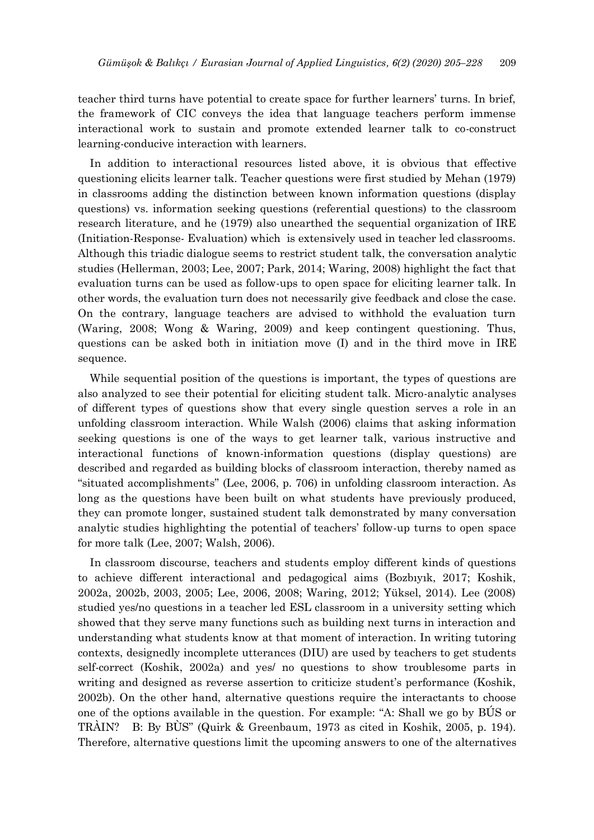teacher third turns have potential to create space for further learners' turns. In brief, the framework of CIC conveys the idea that language teachers perform immense interactional work to sustain and promote extended learner talk to co-construct learning-conducive interaction with learners.

In addition to interactional resources listed above, it is obvious that effective questioning elicits learner talk. Teacher questions were first studied by Mehan (1979) in classrooms adding the distinction between known information questions (display questions) vs. information seeking questions (referential questions) to the classroom research literature, and he (1979) also unearthed the sequential organization of IRE (Initiation-Response- Evaluation) which is extensively used in teacher led classrooms. Although this triadic dialogue seems to restrict student talk, the conversation analytic studies (Hellerman, 2003; Lee, 2007; Park, 2014; Waring, 2008) highlight the fact that evaluation turns can be used as follow-ups to open space for eliciting learner talk. In other words, the evaluation turn does not necessarily give feedback and close the case. On the contrary, language teachers are advised to withhold the evaluation turn (Waring, 2008; Wong & Waring, 2009) and keep contingent questioning. Thus, questions can be asked both in initiation move (I) and in the third move in IRE sequence.

While sequential position of the questions is important, the types of questions are also analyzed to see their potential for eliciting student talk. Micro-analytic analyses of different types of questions show that every single question serves a role in an unfolding classroom interaction. While Walsh (2006) claims that asking information seeking questions is one of the ways to get learner talk, various instructive and interactional functions of known-information questions (display questions) are described and regarded as building blocks of classroom interaction, thereby named as "situated accomplishments" (Lee, 2006, p. 706) in unfolding classroom interaction. As long as the questions have been built on what students have previously produced, they can promote longer, sustained student talk demonstrated by many conversation analytic studies highlighting the potential of teachers' follow-up turns to open space for more talk (Lee, 2007; Walsh, 2006).

In classroom discourse, teachers and students employ different kinds of questions to achieve different interactional and pedagogical aims (Bozbıyık, 2017; Koshik, 2002a, 2002b, 2003, 2005; Lee, 2006, 2008; Waring, 2012; Yüksel, 2014). Lee (2008) studied yes/no questions in a teacher led ESL classroom in a university setting which showed that they serve many functions such as building next turns in interaction and understanding what students know at that moment of interaction. In writing tutoring contexts, designedly incomplete utterances (DIU) are used by teachers to get students self-correct (Koshik, 2002a) and yes/ no questions to show troublesome parts in writing and designed as reverse assertion to criticize student's performance (Koshik, 2002b). On the other hand, alternative questions require the interactants to choose one of the options available in the question. For example: "A: Shall we go by BÚS or TRÀIN? B: By BÙS" (Quirk & Greenbaum, 1973 as cited in Koshik, 2005, p. 194). Therefore, alternative questions limit the upcoming answers to one of the alternatives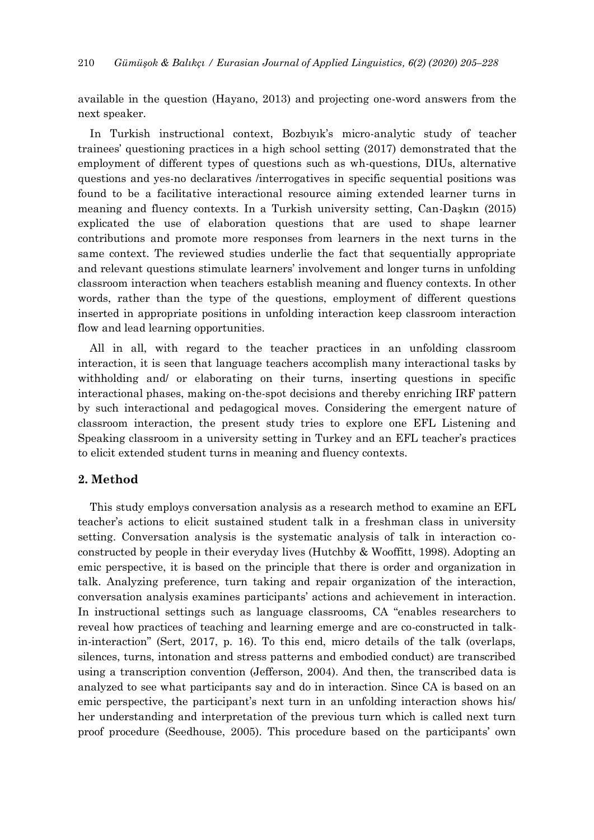available in the question (Hayano, 2013) and projecting one-word answers from the next speaker.

In Turkish instructional context, Bozbıyık's micro-analytic study of teacher trainees' questioning practices in a high school setting (2017) demonstrated that the employment of different types of questions such as wh-questions, DIUs, alternative questions and yes-no declaratives /interrogatives in specific sequential positions was found to be a facilitative interactional resource aiming extended learner turns in meaning and fluency contexts. In a Turkish university setting, Can-Daşkın (2015) explicated the use of elaboration questions that are used to shape learner contributions and promote more responses from learners in the next turns in the same context. The reviewed studies underlie the fact that sequentially appropriate and relevant questions stimulate learners' involvement and longer turns in unfolding classroom interaction when teachers establish meaning and fluency contexts. In other words, rather than the type of the questions, employment of different questions inserted in appropriate positions in unfolding interaction keep classroom interaction flow and lead learning opportunities.

All in all, with regard to the teacher practices in an unfolding classroom interaction, it is seen that language teachers accomplish many interactional tasks by withholding and/ or elaborating on their turns, inserting questions in specific interactional phases, making on-the-spot decisions and thereby enriching IRF pattern by such interactional and pedagogical moves. Considering the emergent nature of classroom interaction, the present study tries to explore one EFL Listening and Speaking classroom in a university setting in Turkey and an EFL teacher's practices to elicit extended student turns in meaning and fluency contexts.

# **2. Method**

This study employs conversation analysis as a research method to examine an EFL teacher's actions to elicit sustained student talk in a freshman class in university setting. Conversation analysis is the systematic analysis of talk in interaction coconstructed by people in their everyday lives (Hutchby & Wooffitt, 1998). Adopting an emic perspective, it is based on the principle that there is order and organization in talk. Analyzing preference, turn taking and repair organization of the interaction, conversation analysis examines participants' actions and achievement in interaction. In instructional settings such as language classrooms, CA "enables researchers to reveal how practices of teaching and learning emerge and are co-constructed in talkin-interaction" (Sert, 2017, p. 16). To this end, micro details of the talk (overlaps, silences, turns, intonation and stress patterns and embodied conduct) are transcribed using a transcription convention (Jefferson, 2004). And then, the transcribed data is analyzed to see what participants say and do in interaction. Since CA is based on an emic perspective, the participant's next turn in an unfolding interaction shows his/ her understanding and interpretation of the previous turn which is called next turn proof procedure (Seedhouse, 2005). This procedure based on the participants' own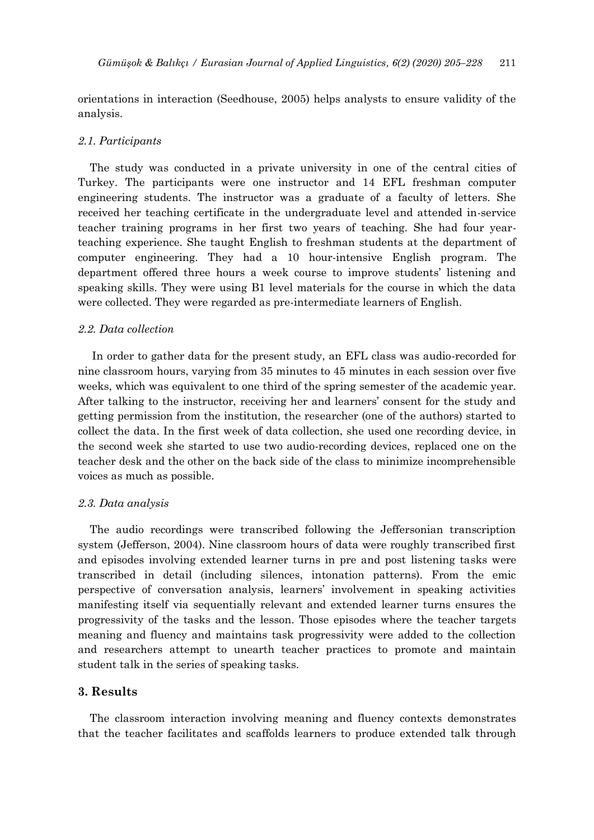orientations in interaction (Seedhouse, 2005) helps analysts to ensure validity of the analysis.

## *2.1. Participants*

The study was conducted in a private university in one of the central cities of Turkey. The participants were one instructor and 14 EFL freshman computer engineering students. The instructor was a graduate of a faculty of letters. She received her teaching certificate in the undergraduate level and attended in-service teacher training programs in her first two years of teaching. She had four yearteaching experience. She taught English to freshman students at the department of computer engineering. They had a 10 hour-intensive English program. The department offered three hours a week course to improve students' listening and speaking skills. They were using B1 level materials for the course in which the data were collected. They were regarded as pre-intermediate learners of English.

#### *2.2. Data collection*

In order to gather data for the present study, an EFL class was audio-recorded for nine classroom hours, varying from 35 minutes to 45 minutes in each session over five weeks, which was equivalent to one third of the spring semester of the academic year. After talking to the instructor, receiving her and learners' consent for the study and getting permission from the institution, the researcher (one of the authors) started to collect the data. In the first week of data collection, she used one recording device, in the second week she started to use two audio-recording devices, replaced one on the teacher desk and the other on the back side of the class to minimize incomprehensible voices as much as possible.

#### *2.3. Data analysis*

The audio recordings were transcribed following the Jeffersonian transcription system (Jefferson, 2004). Nine classroom hours of data were roughly transcribed first and episodes involving extended learner turns in pre and post listening tasks were transcribed in detail (including silences, intonation patterns). From the emic perspective of conversation analysis, learners' involvement in speaking activities manifesting itself via sequentially relevant and extended learner turns ensures the progressivity of the tasks and the lesson. Those episodes where the teacher targets meaning and fluency and maintains task progressivity were added to the collection and researchers attempt to unearth teacher practices to promote and maintain student talk in the series of speaking tasks.

# **3. Results**

The classroom interaction involving meaning and fluency contexts demonstrates that the teacher facilitates and scaffolds learners to produce extended talk through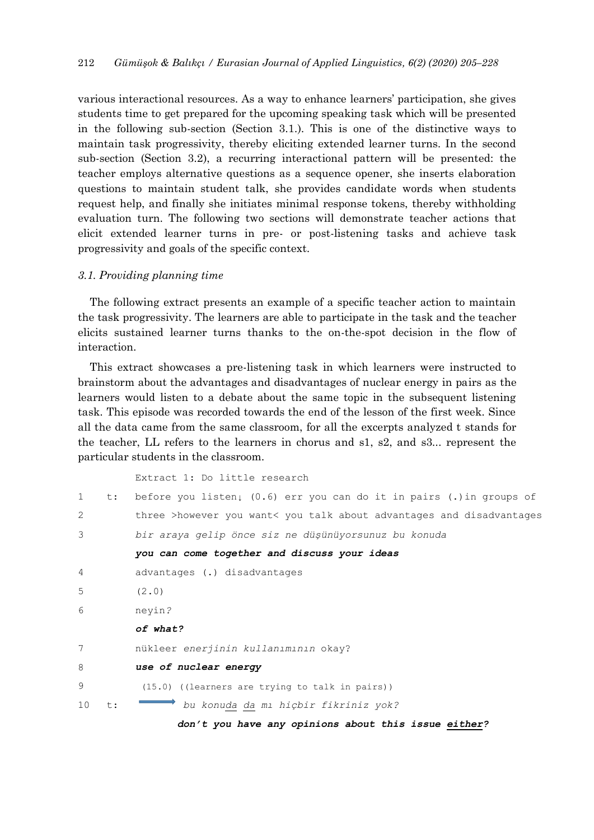various interactional resources. As a way to enhance learners' participation, she gives students time to get prepared for the upcoming speaking task which will be presented in the following sub-section (Section 3.1.). This is one of the distinctive ways to maintain task progressivity, thereby eliciting extended learner turns. In the second sub-section (Section 3.2), a recurring interactional pattern will be presented: the teacher employs alternative questions as a sequence opener, she inserts elaboration questions to maintain student talk, she provides candidate words when students request help, and finally she initiates minimal response tokens, thereby withholding evaluation turn. The following two sections will demonstrate teacher actions that elicit extended learner turns in pre- or post-listening tasks and achieve task progressivity and goals of the specific context.

#### *3.1. Providing planning time*

The following extract presents an example of a specific teacher action to maintain the task progressivity. The learners are able to participate in the task and the teacher elicits sustained learner turns thanks to the on-the-spot decision in the flow of interaction.

This extract showcases a pre-listening task in which learners were instructed to brainstorm about the advantages and disadvantages of nuclear energy in pairs as the learners would listen to a debate about the same topic in the subsequent listening task. This episode was recorded towards the end of the lesson of the first week. Since all the data came from the same classroom, for all the excerpts analyzed t stands for the teacher, LL refers to the learners in chorus and s1, s2, and s3... represent the particular students in the classroom.

Extract 1: Do little research

| $\mathbf{1}$   | t: | before you listen, $(0.6)$ err you can do it in pairs (.) in groups of |
|----------------|----|------------------------------------------------------------------------|
| $\overline{2}$ |    | three >however you want< you talk about advantages and disadvantages   |
| 3              |    | bir araya gelip önce siz ne düşünüyorsunuz bu konuda                   |
|                |    | you can come together and discuss your ideas                           |
| 4              |    | advantages (.) disadvantages                                           |
| 5              |    | (2.0)                                                                  |
| 6              |    | neyin?                                                                 |
|                |    | of what?                                                               |
| 7              |    | nükleer enerjinin kullanımının okay?                                   |
| 8              |    | use of nuclear energy                                                  |
| 9              |    | (15.0) ((learners are trying to talk in pairs))                        |
| 10             | t: | bu konuda da mı hiçbir fikriniz yok?                                   |
|                |    |                                                                        |

 *don't you have any opinions about this issue either?*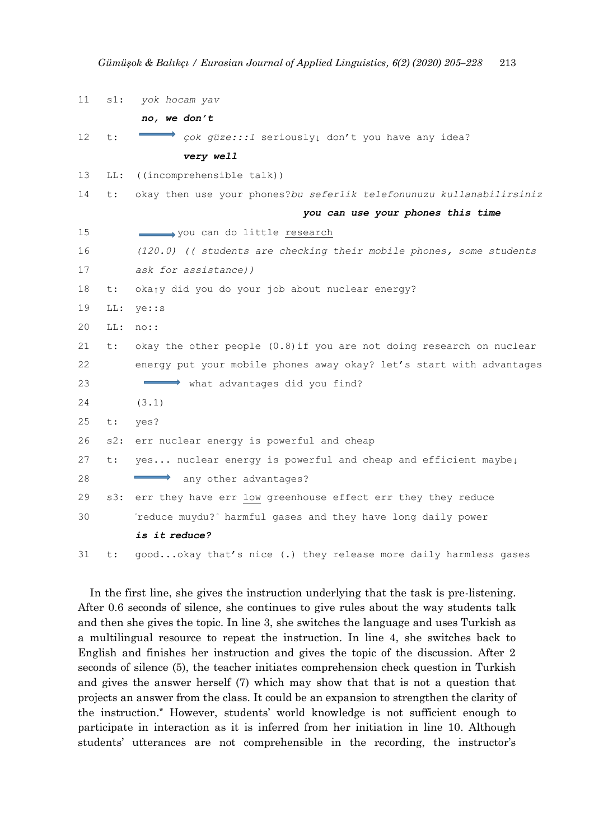| 11 | $s1$ : | yok hocam yav                                                        |
|----|--------|----------------------------------------------------------------------|
|    |        | no, we don't                                                         |
| 12 | t:     | çok güze::: l seriously! don't you have any idea?                    |
|    |        | very well                                                            |
| 13 | LL:    | ((incomprehensible talk))                                            |
| 14 | t:     | okay then use your phones?bu seferlik telefonunuzu kullanabilirsiniz |
|    |        | you can use your phones this time                                    |
| 15 |        | you can do little research                                           |
| 16 |        | (120.0) (( students are checking their mobile phones, some students  |
| 17 |        | ask for assistance))                                                 |
| 18 | t:     | oka <sub>j</sub> y did you do your job about nuclear energy?         |
| 19 | LL:    | ye: :s                                                               |
| 20 | LL:    | noc:                                                                 |
| 21 | t:     | okay the other people (0.8) if you are not doing research on nuclear |
| 22 |        | energy put your mobile phones away okay? let's start with advantages |
| 23 |        | what advantages did you find?                                        |
| 24 |        | (3.1)                                                                |
| 25 | $t$ :  | yes?                                                                 |
| 26 | $s2$ : | err nuclear energy is powerful and cheap                             |
| 27 | t:     | yes nuclear energy is powerful and cheap and efficient maybe!        |
| 28 |        | any other advantages?                                                |
| 29 | s3:    | err they have err low greenhouse effect err they they reduce         |
| 30 |        | reduce muydu? harmful gases and they have long daily power           |
|    |        | is it reduce?                                                        |
| 31 | t:     | goodokay that's nice (.) they release more daily harmless gases      |

In the first line, she gives the instruction underlying that the task is pre-listening. After 0.6 seconds of silence, she continues to give rules about the way students talk and then she gives the topic. In line 3, she switches the language and uses Turkish as a multilingual resource to repeat the instruction. In line 4, she switches back to English and finishes her instruction and gives the topic of the discussion. After 2 seconds of silence (5), the teacher initiates comprehension check question in Turkish and gives the answer herself (7) which may show that that is not a question that projects an answer from the class. It could be an expansion to strengthen the clarity of the instruction.**\*** However, students' world knowledge is not sufficient enough to participate in interaction as it is inferred from her initiation in line 10. Although students' utterances are not comprehensible in the recording, the instructor's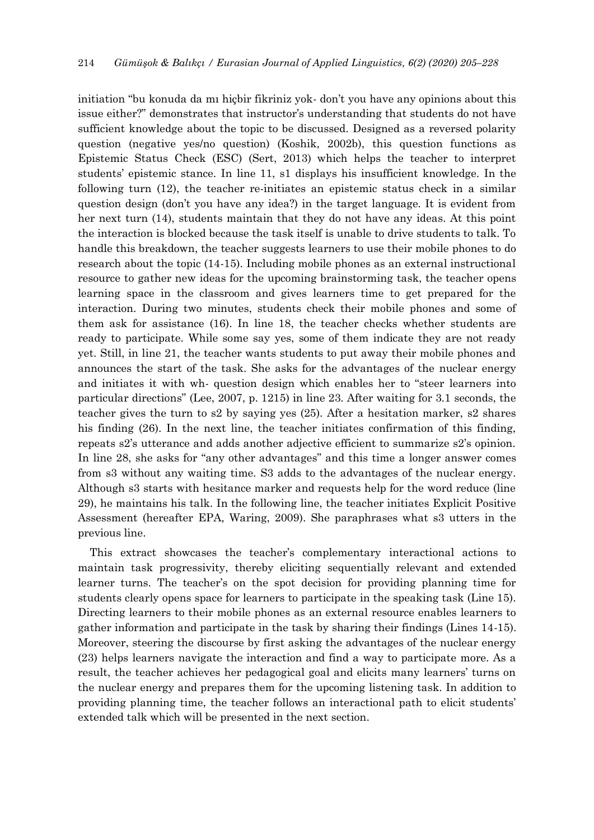initiation "bu konuda da mı hiçbir fikriniz yok- don't you have any opinions about this issue either?" demonstrates that instructor's understanding that students do not have sufficient knowledge about the topic to be discussed. Designed as a reversed polarity question (negative yes/no question) (Koshik, 2002b), this question functions as Epistemic Status Check (ESC) (Sert, 2013) which helps the teacher to interpret students' epistemic stance. In line 11, s1 displays his insufficient knowledge. In the following turn (12), the teacher re-initiates an epistemic status check in a similar question design (don't you have any idea?) in the target language. It is evident from her next turn (14), students maintain that they do not have any ideas. At this point the interaction is blocked because the task itself is unable to drive students to talk. To handle this breakdown, the teacher suggests learners to use their mobile phones to do research about the topic (14-15). Including mobile phones as an external instructional resource to gather new ideas for the upcoming brainstorming task, the teacher opens learning space in the classroom and gives learners time to get prepared for the interaction. During two minutes, students check their mobile phones and some of them ask for assistance (16). In line 18, the teacher checks whether students are ready to participate. While some say yes, some of them indicate they are not ready yet. Still, in line 21, the teacher wants students to put away their mobile phones and announces the start of the task. She asks for the advantages of the nuclear energy and initiates it with wh- question design which enables her to "steer learners into particular directions" (Lee, 2007, p. 1215) in line 23. After waiting for 3.1 seconds, the teacher gives the turn to s2 by saying yes (25). After a hesitation marker, s2 shares his finding (26). In the next line, the teacher initiates confirmation of this finding, repeats s2's utterance and adds another adjective efficient to summarize s2's opinion. In line 28, she asks for "any other advantages" and this time a longer answer comes from s3 without any waiting time. S3 adds to the advantages of the nuclear energy. Although s3 starts with hesitance marker and requests help for the word reduce (line 29), he maintains his talk. In the following line, the teacher initiates Explicit Positive Assessment (hereafter EPA, Waring, 2009). She paraphrases what s3 utters in the previous line.

This extract showcases the teacher's complementary interactional actions to maintain task progressivity, thereby eliciting sequentially relevant and extended learner turns. The teacher's on the spot decision for providing planning time for students clearly opens space for learners to participate in the speaking task (Line 15). Directing learners to their mobile phones as an external resource enables learners to gather information and participate in the task by sharing their findings (Lines 14-15). Moreover, steering the discourse by first asking the advantages of the nuclear energy (23) helps learners navigate the interaction and find a way to participate more. As a result, the teacher achieves her pedagogical goal and elicits many learners' turns on the nuclear energy and prepares them for the upcoming listening task. In addition to providing planning time, the teacher follows an interactional path to elicit students' extended talk which will be presented in the next section.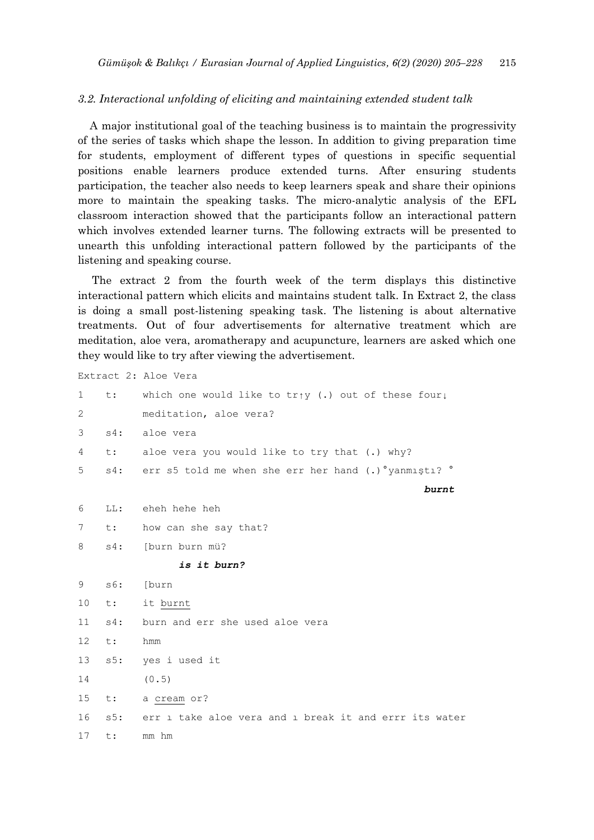## *3.2. Interactional unfolding of eliciting and maintaining extended student talk*

A major institutional goal of the teaching business is to maintain the progressivity of the series of tasks which shape the lesson. In addition to giving preparation time for students, employment of different types of questions in specific sequential positions enable learners produce extended turns. After ensuring students participation, the teacher also needs to keep learners speak and share their opinions more to maintain the speaking tasks. The micro-analytic analysis of the EFL classroom interaction showed that the participants follow an interactional pattern which involves extended learner turns. The following extracts will be presented to unearth this unfolding interactional pattern followed by the participants of the listening and speaking course.

The extract 2 from the fourth week of the term displays this distinctive interactional pattern which elicits and maintains student talk. In Extract 2, the class is doing a small post-listening speaking task. The listening is about alternative treatments. Out of four advertisements for alternative treatment which are meditation, aloe vera, aromatherapy and acupuncture, learners are asked which one they would like to try after viewing the advertisement.

Extract 2: Aloe Vera

| $\mathbf{1}$    |        | t: which one would like to $tr_{\uparrow}y$ (.) out of these four, |
|-----------------|--------|--------------------------------------------------------------------|
| 2               |        | meditation, aloe vera?                                             |
| 3               |        | s4: aloe vera                                                      |
| 4               |        | t: aloe vera you would like to try that (.) why?                   |
| 5               |        | s4: err s5 told me when she err her hand (.) "yanmişti? "          |
|                 |        | burnt                                                              |
| 6               |        | LL: eheh hehe heh                                                  |
| $7\phantom{.0}$ | t:     | how can she say that?                                              |
| 8               | $s4$ : | [burn burn mü?                                                     |
|                 |        | is it burn?                                                        |
| 9               | s6:    | [burn                                                              |
| 10              |        | t: it burnt                                                        |
| 11              | $s4$ : | burn and err she used aloe vera                                    |
| 12 <sup>°</sup> | t:     | hmm                                                                |
| 13              | s5:    | yes i used it                                                      |
| 14              |        | (0.5)                                                              |
| 15              |        | t: a cream or?                                                     |
| 16              |        | s5: err 1 take aloe vera and 1 break it and errr its water         |
| 17              | t:     | mm hm                                                              |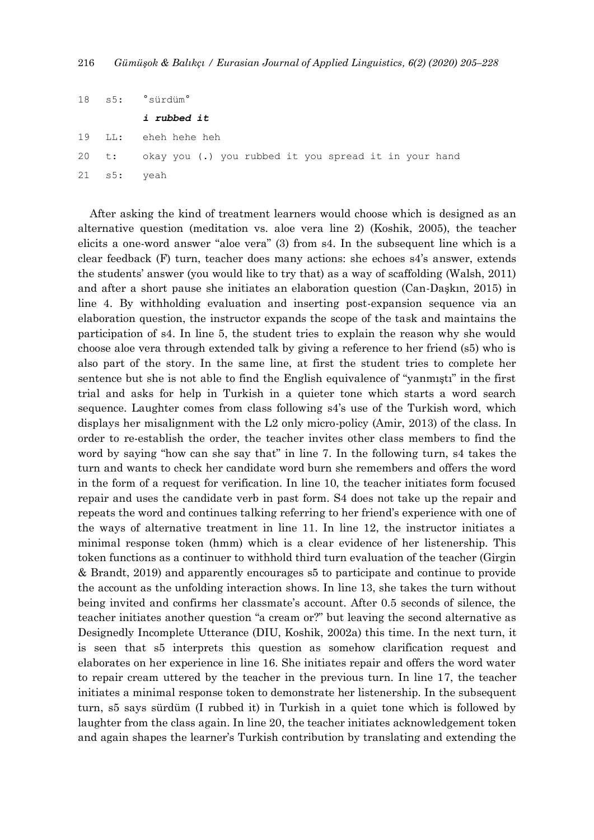| 18 | s5: | 'sürdüm° |
|----|-----|----------|
|    |     |          |

*i rubbed it*

- 19 LL: eheh hehe heh
- 20 t: okay you (.) you rubbed it you spread it in your hand
- 21 s5: yeah

After asking the kind of treatment learners would choose which is designed as an alternative question (meditation vs. aloe vera line 2) (Koshik, 2005), the teacher elicits a one-word answer "aloe vera" (3) from s4. In the subsequent line which is a clear feedback (F) turn, teacher does many actions: she echoes s4's answer, extends the students' answer (you would like to try that) as a way of scaffolding (Walsh, 2011) and after a short pause she initiates an elaboration question (Can-Daşkın, 2015) in line 4. By withholding evaluation and inserting post-expansion sequence via an elaboration question, the instructor expands the scope of the task and maintains the participation of s4. In line 5, the student tries to explain the reason why she would choose aloe vera through extended talk by giving a reference to her friend (s5) who is also part of the story. In the same line, at first the student tries to complete her sentence but she is not able to find the English equivalence of "yanmıştı" in the first trial and asks for help in Turkish in a quieter tone which starts a word search sequence. Laughter comes from class following s4's use of the Turkish word, which displays her misalignment with the L2 only micro-policy (Amir, 2013) of the class. In order to re-establish the order, the teacher invites other class members to find the word by saying "how can she say that" in line 7. In the following turn, s4 takes the turn and wants to check her candidate word burn she remembers and offers the word in the form of a request for verification. In line 10, the teacher initiates form focused repair and uses the candidate verb in past form. S4 does not take up the repair and repeats the word and continues talking referring to her friend's experience with one of the ways of alternative treatment in line 11. In line 12, the instructor initiates a minimal response token (hmm) which is a clear evidence of her listenership. This token functions as a continuer to withhold third turn evaluation of the teacher (Girgin & Brandt, 2019) and apparently encourages s5 to participate and continue to provide the account as the unfolding interaction shows. In line 13, she takes the turn without being invited and confirms her classmate's account. After 0.5 seconds of silence, the teacher initiates another question "a cream or?" but leaving the second alternative as Designedly Incomplete Utterance (DIU, Koshik, 2002a) this time. In the next turn, it is seen that s5 interprets this question as somehow clarification request and elaborates on her experience in line 16. She initiates repair and offers the word water to repair cream uttered by the teacher in the previous turn. In line 17, the teacher initiates a minimal response token to demonstrate her listenership. In the subsequent turn, s5 says sürdüm (I rubbed it) in Turkish in a quiet tone which is followed by laughter from the class again. In line 20, the teacher initiates acknowledgement token and again shapes the learner's Turkish contribution by translating and extending the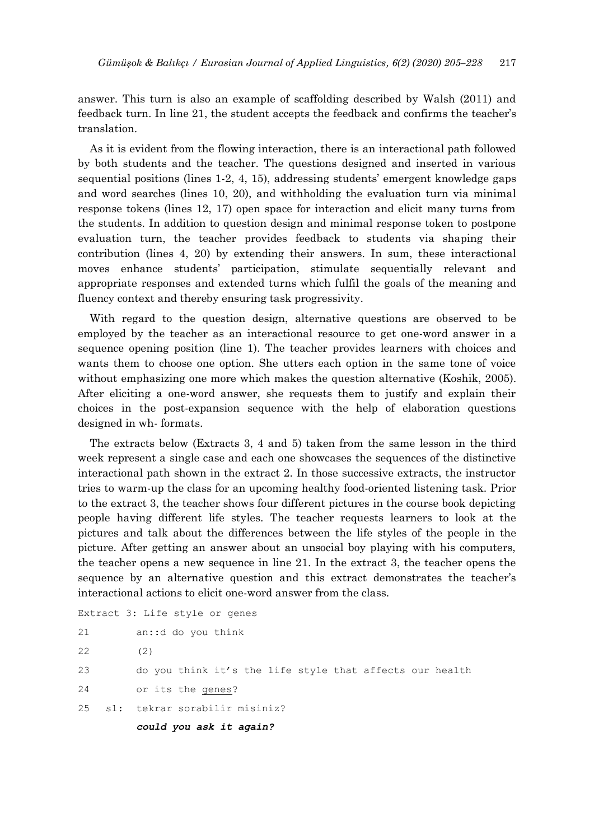answer. This turn is also an example of scaffolding described by Walsh (2011) and feedback turn. In line 21, the student accepts the feedback and confirms the teacher's translation.

As it is evident from the flowing interaction, there is an interactional path followed by both students and the teacher. The questions designed and inserted in various sequential positions (lines 1-2, 4, 15), addressing students' emergent knowledge gaps and word searches (lines 10, 20), and withholding the evaluation turn via minimal response tokens (lines 12, 17) open space for interaction and elicit many turns from the students. In addition to question design and minimal response token to postpone evaluation turn, the teacher provides feedback to students via shaping their contribution (lines 4, 20) by extending their answers. In sum, these interactional moves enhance students' participation, stimulate sequentially relevant and appropriate responses and extended turns which fulfil the goals of the meaning and fluency context and thereby ensuring task progressivity.

With regard to the question design, alternative questions are observed to be employed by the teacher as an interactional resource to get one-word answer in a sequence opening position (line 1). The teacher provides learners with choices and wants them to choose one option. She utters each option in the same tone of voice without emphasizing one more which makes the question alternative (Koshik, 2005). After eliciting a one-word answer, she requests them to justify and explain their choices in the post-expansion sequence with the help of elaboration questions designed in wh- formats.

The extracts below (Extracts 3, 4 and 5) taken from the same lesson in the third week represent a single case and each one showcases the sequences of the distinctive interactional path shown in the extract 2. In those successive extracts, the instructor tries to warm-up the class for an upcoming healthy food-oriented listening task. Prior to the extract 3, the teacher shows four different pictures in the course book depicting people having different life styles. The teacher requests learners to look at the pictures and talk about the differences between the life styles of the people in the picture. After getting an answer about an unsocial boy playing with his computers, the teacher opens a new sequence in line 21. In the extract 3, the teacher opens the sequence by an alternative question and this extract demonstrates the teacher's interactional actions to elicit one-word answer from the class.

```
Extract 3: Life style or genes
21 an::d do you think 
22 (2)
23 do you think it's the life style that affects our health
24 or its the genes?
25 s1: tekrar sorabilir misiniz?
        could you ask it again?
```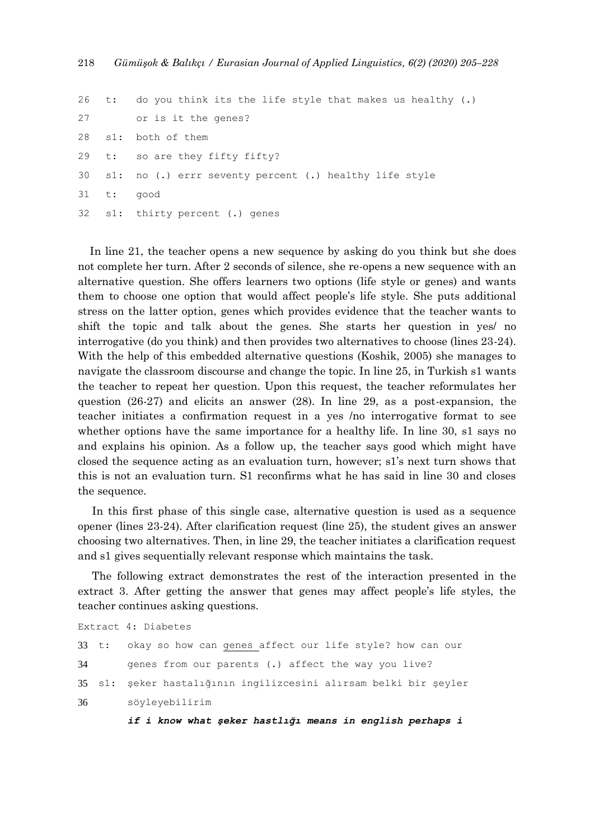```
26 t: do you think its the life style that makes us healthy (.) 
27 or is it the genes?
28 s1: both of them 
29 t: so are they fifty fifty?
30 s1: no (.) errr seventy percent (.) healthy life style
31 t: good 
32 s1: thirty percent (.) genes
```
In line 21, the teacher opens a new sequence by asking do you think but she does not complete her turn. After 2 seconds of silence, she re-opens a new sequence with an alternative question. She offers learners two options (life style or genes) and wants them to choose one option that would affect people's life style. She puts additional stress on the latter option, genes which provides evidence that the teacher wants to shift the topic and talk about the genes. She starts her question in yes/ no interrogative (do you think) and then provides two alternatives to choose (lines 23-24). With the help of this embedded alternative questions (Koshik, 2005) she manages to navigate the classroom discourse and change the topic. In line 25, in Turkish s1 wants the teacher to repeat her question. Upon this request, the teacher reformulates her question (26-27) and elicits an answer (28). In line 29, as a post-expansion, the teacher initiates a confirmation request in a yes /no interrogative format to see whether options have the same importance for a healthy life. In line 30, s1 says no and explains his opinion. As a follow up, the teacher says good which might have closed the sequence acting as an evaluation turn, however; s1's next turn shows that this is not an evaluation turn. S1 reconfirms what he has said in line 30 and closes the sequence.

In this first phase of this single case, alternative question is used as a sequence opener (lines 23-24). After clarification request (line 25), the student gives an answer choosing two alternatives. Then, in line 29, the teacher initiates a clarification request and s1 gives sequentially relevant response which maintains the task.

The following extract demonstrates the rest of the interaction presented in the extract 3. After getting the answer that genes may affect people's life styles, the teacher continues asking questions.

```
Extract 4: Diabetes 
33 t: okay so how can genes affect our life style? how can our 
34 genes from our parents (.) affect the way you live?
35 s1: şeker hastalığının ingilizcesini alırsam belki bir şeyler 
36 söyleyebilirim
```
*if i know what şeker hastlığı means in english perhaps i*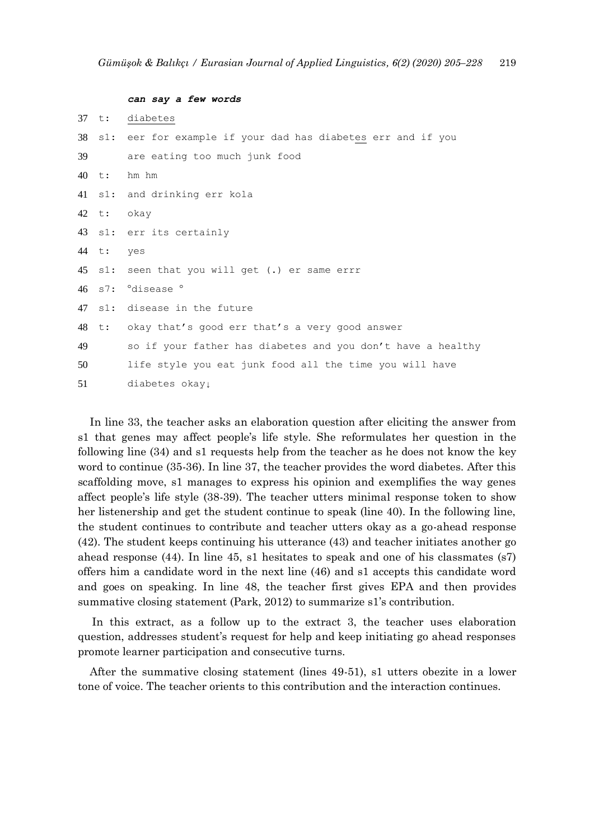```
can say a few words
37 t: diabetes
38 s1: eer for example if your dad has diabetes err and if you 
39 are eating too much junk food
40 t: hm hm 
41 s1: and drinking err kola
42 t: okay 
43 s1: err its certainly 
44 t: yes 
45 s1: seen that you will get (.) er same errr 
46 s7: °disease ° 
47 s1: disease in the future
48 t: okay that's good err that's a very good answer 
49 so if your father has diabetes and you don't have a healthy 
50 life style you eat junk food all the time you will have 
51 diabetes okay↓
```
In line 33, the teacher asks an elaboration question after eliciting the answer from s1 that genes may affect people's life style. She reformulates her question in the following line (34) and s1 requests help from the teacher as he does not know the key word to continue (35-36). In line 37, the teacher provides the word diabetes. After this scaffolding move, s1 manages to express his opinion and exemplifies the way genes affect people's life style (38-39). The teacher utters minimal response token to show her listenership and get the student continue to speak (line 40). In the following line, the student continues to contribute and teacher utters okay as a go-ahead response (42). The student keeps continuing his utterance (43) and teacher initiates another go ahead response (44). In line 45, s1 hesitates to speak and one of his classmates (s7) offers him a candidate word in the next line (46) and s1 accepts this candidate word and goes on speaking. In line 48, the teacher first gives EPA and then provides summative closing statement (Park, 2012) to summarize s1's contribution.

In this extract, as a follow up to the extract 3, the teacher uses elaboration question, addresses student's request for help and keep initiating go ahead responses promote learner participation and consecutive turns.

After the summative closing statement (lines 49-51), s1 utters obezite in a lower tone of voice. The teacher orients to this contribution and the interaction continues.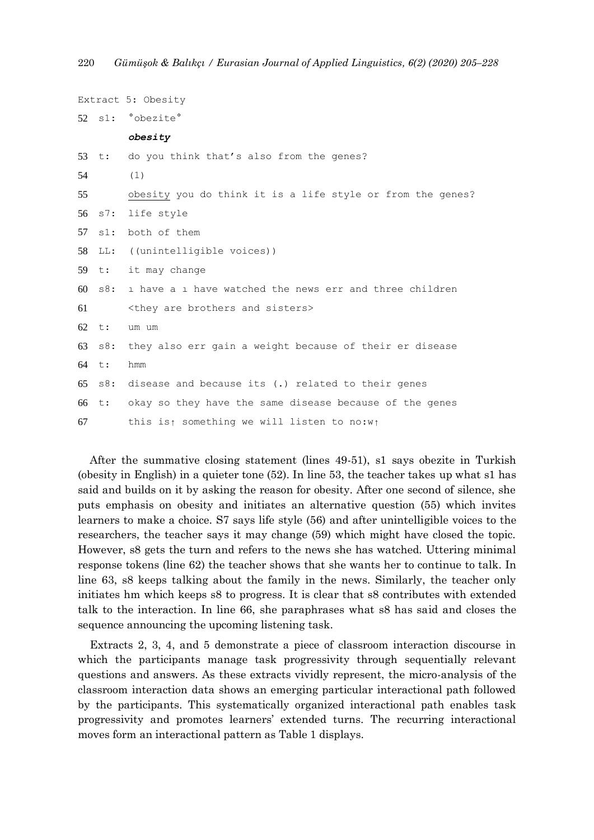```
Extract 5: Obesity 
52 s1: °obezite° 
        obesity
53 t: do you think that's also from the genes? 
54 (1)
55 obesity you do think it is a life style or from the genes?
56 s7: life style
57 s1: both of them 
58 LL: ((unintelligible voices)) 
59 t: it may change 
60 s8: ı have a ı have watched the news err and three children 
61 <they are brothers and sisters>
62 t: um um 
63 s8: they also err gain a weight because of their er disease 
64 t: hmm
65 s8: disease and because its (.) related to their genes
66 t: okay so they have the same disease because of the genes 
67 this is↑ something we will listen to no:w↑
```
After the summative closing statement (lines 49-51), s1 says obezite in Turkish (obesity in English) in a quieter tone (52). In line 53, the teacher takes up what s1 has said and builds on it by asking the reason for obesity. After one second of silence, she puts emphasis on obesity and initiates an alternative question (55) which invites learners to make a choice. S7 says life style (56) and after unintelligible voices to the researchers, the teacher says it may change (59) which might have closed the topic. However, s8 gets the turn and refers to the news she has watched. Uttering minimal response tokens (line 62) the teacher shows that she wants her to continue to talk. In line 63, s8 keeps talking about the family in the news. Similarly, the teacher only initiates hm which keeps s8 to progress. It is clear that s8 contributes with extended talk to the interaction. In line 66, she paraphrases what s8 has said and closes the sequence announcing the upcoming listening task.

Extracts 2, 3, 4, and 5 demonstrate a piece of classroom interaction discourse in which the participants manage task progressivity through sequentially relevant questions and answers. As these extracts vividly represent, the micro-analysis of the classroom interaction data shows an emerging particular interactional path followed by the participants. This systematically organized interactional path enables task progressivity and promotes learners' extended turns. The recurring interactional moves form an interactional pattern as Table 1 displays.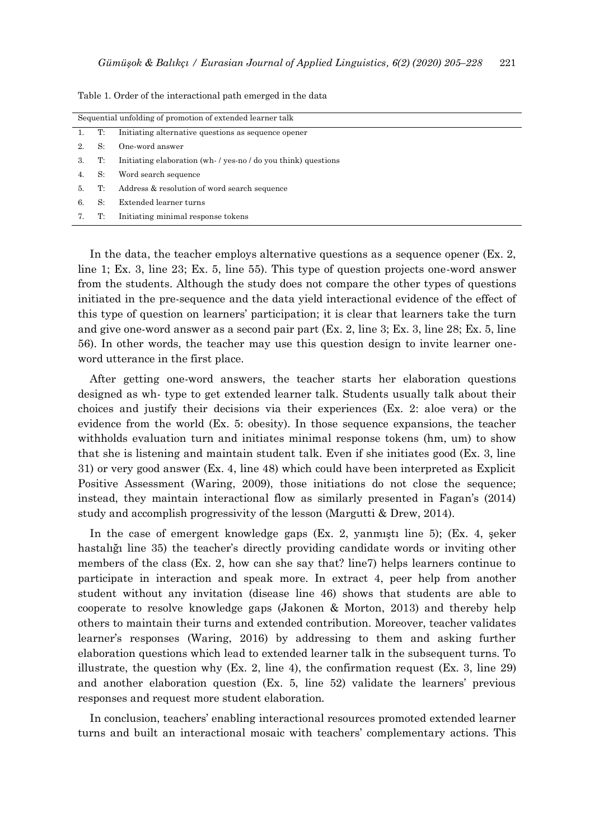| Sequential unfolding of promotion of extended learner talk |    |                                                                |  |  |
|------------------------------------------------------------|----|----------------------------------------------------------------|--|--|
|                                                            | T: | Initiating alternative questions as sequence opener            |  |  |
|                                                            | S: | One-word answer                                                |  |  |
| 3.                                                         | T: | Initiating elaboration (wh- / yes-no / do you think) questions |  |  |
|                                                            | S: | Word search sequence                                           |  |  |
| 5.                                                         | T: | Address & resolution of word search sequence                   |  |  |
| 6.                                                         | S: | Extended learner turns                                         |  |  |
|                                                            | T: | Initiating minimal response tokens                             |  |  |

Table 1. Order of the interactional path emerged in the data

In the data, the teacher employs alternative questions as a sequence opener (Ex. 2, line 1; Ex. 3, line 23; Ex. 5, line 55). This type of question projects one-word answer from the students. Although the study does not compare the other types of questions initiated in the pre-sequence and the data yield interactional evidence of the effect of this type of question on learners' participation; it is clear that learners take the turn and give one-word answer as a second pair part (Ex. 2, line 3; Ex. 3, line 28; Ex. 5, line 56). In other words, the teacher may use this question design to invite learner oneword utterance in the first place.

After getting one-word answers, the teacher starts her elaboration questions designed as wh- type to get extended learner talk. Students usually talk about their choices and justify their decisions via their experiences (Ex. 2: aloe vera) or the evidence from the world (Ex. 5: obesity). In those sequence expansions, the teacher withholds evaluation turn and initiates minimal response tokens (hm, um) to show that she is listening and maintain student talk. Even if she initiates good (Ex. 3, line 31) or very good answer (Ex. 4, line 48) which could have been interpreted as Explicit Positive Assessment (Waring, 2009), those initiations do not close the sequence; instead, they maintain interactional flow as similarly presented in Fagan's (2014) study and accomplish progressivity of the lesson (Margutti & Drew, 2014).

In the case of emergent knowledge gaps (Ex. 2, yanmıştı line 5); (Ex. 4, şeker hastalığı line 35) the teacher's directly providing candidate words or inviting other members of the class (Ex. 2, how can she say that? line7) helps learners continue to participate in interaction and speak more. In extract 4, peer help from another student without any invitation (disease line 46) shows that students are able to cooperate to resolve knowledge gaps (Jakonen & Morton, 2013) and thereby help others to maintain their turns and extended contribution. Moreover, teacher validates learner's responses (Waring, 2016) by addressing to them and asking further elaboration questions which lead to extended learner talk in the subsequent turns. To illustrate, the question why  $(Ex. 2, line 4)$ , the confirmation request  $(Ex. 3, line 29)$ and another elaboration question (Ex. 5, line 52) validate the learners' previous responses and request more student elaboration.

In conclusion, teachers' enabling interactional resources promoted extended learner turns and built an interactional mosaic with teachers' complementary actions. This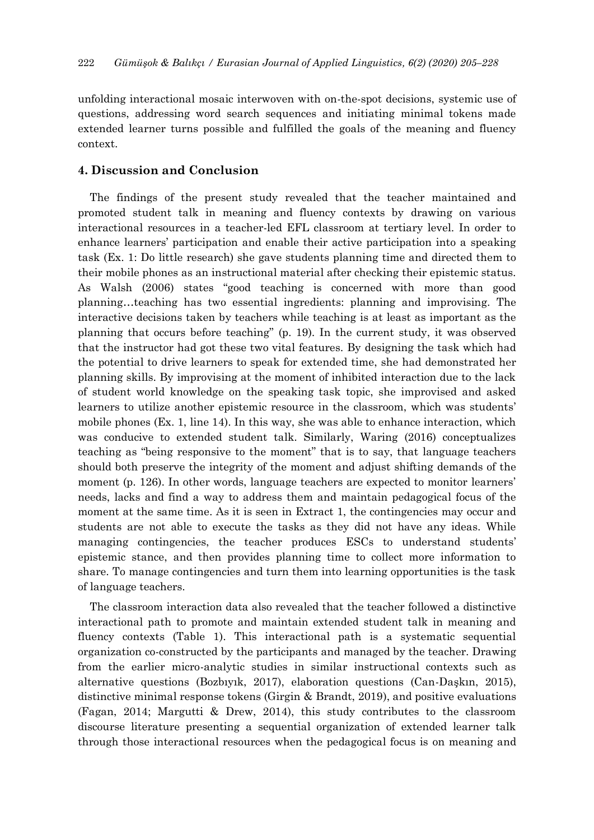unfolding interactional mosaic interwoven with on-the-spot decisions, systemic use of questions, addressing word search sequences and initiating minimal tokens made extended learner turns possible and fulfilled the goals of the meaning and fluency context.

# **4. Discussion and Conclusion**

The findings of the present study revealed that the teacher maintained and promoted student talk in meaning and fluency contexts by drawing on various interactional resources in a teacher-led EFL classroom at tertiary level. In order to enhance learners' participation and enable their active participation into a speaking task (Ex. 1: Do little research) she gave students planning time and directed them to their mobile phones as an instructional material after checking their epistemic status. As Walsh (2006) states "good teaching is concerned with more than good planning…teaching has two essential ingredients: planning and improvising. The interactive decisions taken by teachers while teaching is at least as important as the planning that occurs before teaching" (p. 19). In the current study, it was observed that the instructor had got these two vital features. By designing the task which had the potential to drive learners to speak for extended time, she had demonstrated her planning skills. By improvising at the moment of inhibited interaction due to the lack of student world knowledge on the speaking task topic, she improvised and asked learners to utilize another epistemic resource in the classroom, which was students' mobile phones (Ex. 1, line 14). In this way, she was able to enhance interaction, which was conducive to extended student talk. Similarly, Waring (2016) conceptualizes teaching as "being responsive to the moment" that is to say, that language teachers should both preserve the integrity of the moment and adjust shifting demands of the moment (p. 126). In other words, language teachers are expected to monitor learners' needs, lacks and find a way to address them and maintain pedagogical focus of the moment at the same time. As it is seen in Extract 1, the contingencies may occur and students are not able to execute the tasks as they did not have any ideas. While managing contingencies, the teacher produces ESCs to understand students' epistemic stance, and then provides planning time to collect more information to share. To manage contingencies and turn them into learning opportunities is the task of language teachers.

The classroom interaction data also revealed that the teacher followed a distinctive interactional path to promote and maintain extended student talk in meaning and fluency contexts (Table 1). This interactional path is a systematic sequential organization co-constructed by the participants and managed by the teacher. Drawing from the earlier micro-analytic studies in similar instructional contexts such as alternative questions (Bozbıyık, 2017), elaboration questions (Can-Daşkın, 2015), distinctive minimal response tokens (Girgin & Brandt, 2019), and positive evaluations (Fagan, 2014; Margutti & Drew, 2014), this study contributes to the classroom discourse literature presenting a sequential organization of extended learner talk through those interactional resources when the pedagogical focus is on meaning and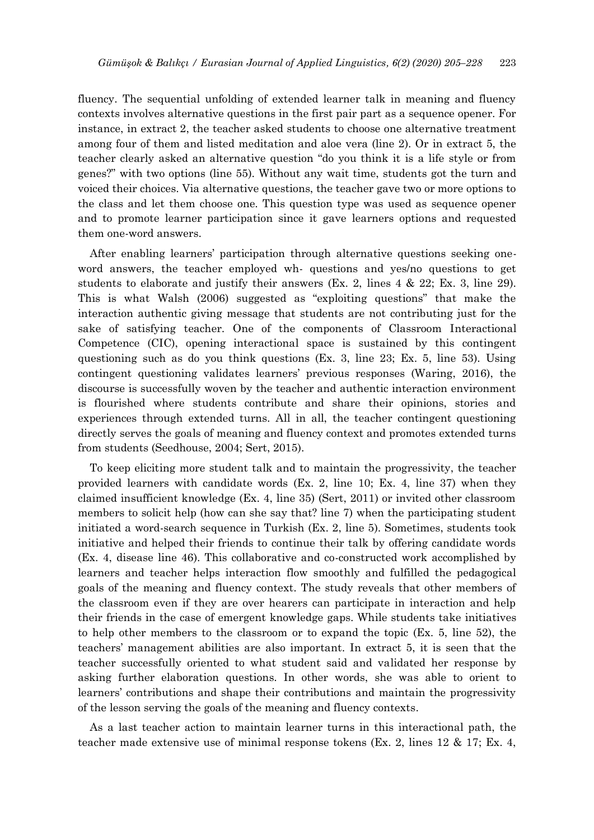fluency. The sequential unfolding of extended learner talk in meaning and fluency contexts involves alternative questions in the first pair part as a sequence opener. For instance, in extract 2, the teacher asked students to choose one alternative treatment among four of them and listed meditation and aloe vera (line 2). Or in extract 5, the teacher clearly asked an alternative question "do you think it is a life style or from genes?" with two options (line 55). Without any wait time, students got the turn and voiced their choices. Via alternative questions, the teacher gave two or more options to the class and let them choose one. This question type was used as sequence opener and to promote learner participation since it gave learners options and requested them one-word answers.

After enabling learners' participation through alternative questions seeking oneword answers, the teacher employed wh- questions and yes/no questions to get students to elaborate and justify their answers (Ex. 2, lines 4 & 22; Ex. 3, line 29). This is what Walsh (2006) suggested as "exploiting questions" that make the interaction authentic giving message that students are not contributing just for the sake of satisfying teacher. One of the components of Classroom Interactional Competence (CIC), opening interactional space is sustained by this contingent questioning such as do you think questions (Ex. 3, line 23; Ex. 5, line 53). Using contingent questioning validates learners' previous responses (Waring, 2016), the discourse is successfully woven by the teacher and authentic interaction environment is flourished where students contribute and share their opinions, stories and experiences through extended turns. All in all, the teacher contingent questioning directly serves the goals of meaning and fluency context and promotes extended turns from students (Seedhouse, 2004; Sert, 2015).

To keep eliciting more student talk and to maintain the progressivity, the teacher provided learners with candidate words (Ex. 2, line 10; Ex. 4, line 37) when they claimed insufficient knowledge (Ex. 4, line 35) (Sert, 2011) or invited other classroom members to solicit help (how can she say that? line 7) when the participating student initiated a word-search sequence in Turkish (Ex. 2, line 5). Sometimes, students took initiative and helped their friends to continue their talk by offering candidate words (Ex. 4, disease line 46). This collaborative and co-constructed work accomplished by learners and teacher helps interaction flow smoothly and fulfilled the pedagogical goals of the meaning and fluency context. The study reveals that other members of the classroom even if they are over hearers can participate in interaction and help their friends in the case of emergent knowledge gaps. While students take initiatives to help other members to the classroom or to expand the topic (Ex. 5, line 52), the teachers' management abilities are also important. In extract 5, it is seen that the teacher successfully oriented to what student said and validated her response by asking further elaboration questions. In other words, she was able to orient to learners' contributions and shape their contributions and maintain the progressivity of the lesson serving the goals of the meaning and fluency contexts.

As a last teacher action to maintain learner turns in this interactional path, the teacher made extensive use of minimal response tokens (Ex. 2, lines 12 & 17; Ex. 4,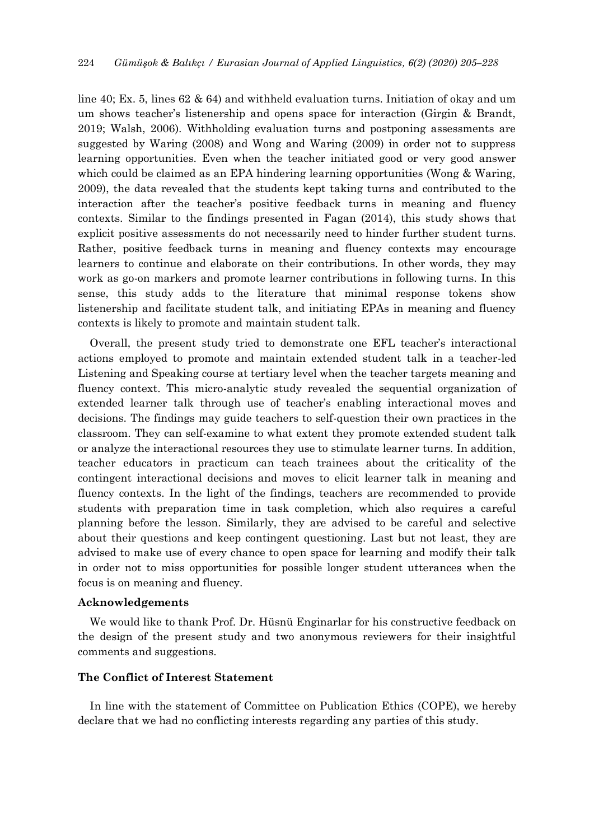line 40; Ex. 5, lines 62 & 64) and withheld evaluation turns. Initiation of okay and um um shows teacher's listenership and opens space for interaction (Girgin & Brandt, 2019; Walsh, 2006). Withholding evaluation turns and postponing assessments are suggested by Waring (2008) and Wong and Waring (2009) in order not to suppress learning opportunities. Even when the teacher initiated good or very good answer which could be claimed as an EPA hindering learning opportunities (Wong & Waring, 2009), the data revealed that the students kept taking turns and contributed to the interaction after the teacher's positive feedback turns in meaning and fluency contexts. Similar to the findings presented in Fagan (2014), this study shows that explicit positive assessments do not necessarily need to hinder further student turns. Rather, positive feedback turns in meaning and fluency contexts may encourage learners to continue and elaborate on their contributions. In other words, they may work as go-on markers and promote learner contributions in following turns. In this sense, this study adds to the literature that minimal response tokens show listenership and facilitate student talk, and initiating EPAs in meaning and fluency contexts is likely to promote and maintain student talk.

Overall, the present study tried to demonstrate one EFL teacher's interactional actions employed to promote and maintain extended student talk in a teacher-led Listening and Speaking course at tertiary level when the teacher targets meaning and fluency context. This micro-analytic study revealed the sequential organization of extended learner talk through use of teacher's enabling interactional moves and decisions. The findings may guide teachers to self-question their own practices in the classroom. They can self-examine to what extent they promote extended student talk or analyze the interactional resources they use to stimulate learner turns. In addition, teacher educators in practicum can teach trainees about the criticality of the contingent interactional decisions and moves to elicit learner talk in meaning and fluency contexts. In the light of the findings, teachers are recommended to provide students with preparation time in task completion, which also requires a careful planning before the lesson. Similarly, they are advised to be careful and selective about their questions and keep contingent questioning. Last but not least, they are advised to make use of every chance to open space for learning and modify their talk in order not to miss opportunities for possible longer student utterances when the focus is on meaning and fluency.

## **Acknowledgements**

We would like to thank Prof. Dr. Hüsnü Enginarlar for his constructive feedback on the design of the present study and two anonymous reviewers for their insightful comments and suggestions.

# **The Conflict of Interest Statement**

In line with the statement of Committee on Publication Ethics (COPE), we hereby declare that we had no conflicting interests regarding any parties of this study.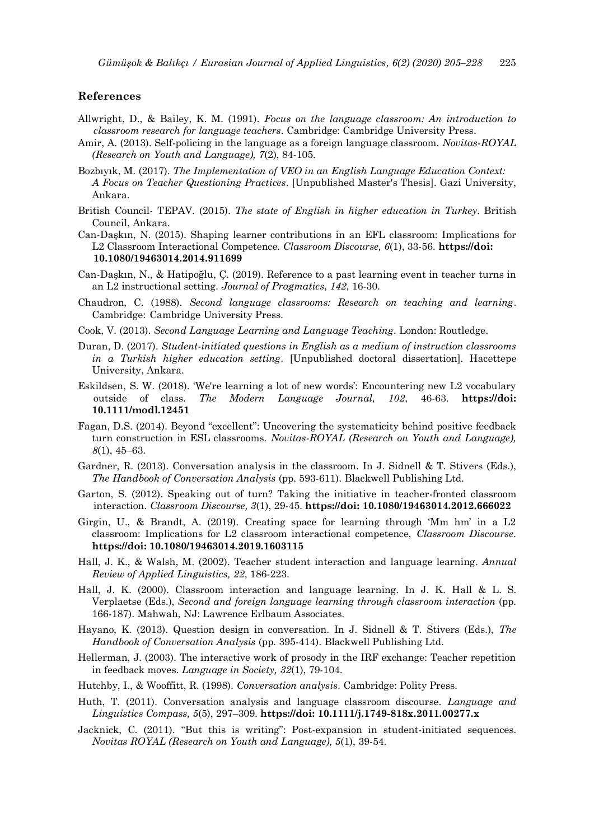#### **References**

- Allwright, D., & Bailey, K. M. (1991). *Focus on the language classroom: An introduction to classroom research for language teachers*. Cambridge: Cambridge University Press.
- Amir, A. (2013). Self-policing in the language as a foreign language classroom. *Novitas-ROYAL (Research on Youth and Language), 7*(2), 84-105.
- Bozbıyık, M. (2017). *The Implementation of VEO in an English Language Education Context: A Focus on Teacher Questioning Practices*. [Unpublished Master's Thesis]. Gazi University, Ankara.
- British Council- TEPAV. (2015). *The state of English in higher education in Turkey*. British Council, Ankara.
- Can-Daşkın, N. (2015). Shaping learner contributions in an EFL classroom: Implications for L2 Classroom Interactional Competence. *Classroom Discourse, 6*(1), 33-56. **https://doi: 10.1080/19463014.2014.911699**
- Can-Daşkın, N., & Hatipoğlu, Ç. (2019). Reference to a past learning event in teacher turns in an L2 instructional setting. *Journal of Pragmatics*, *142*, 16-30.
- Chaudron, C. (1988). *Second language classrooms: Research on teaching and learning*. Cambridge: Cambridge University Press.
- Cook, V. (2013). *Second Language Learning and Language Teaching*. London: Routledge.
- Duran, D. (2017). *Student-initiated questions in English as a medium of instruction classrooms in a Turkish higher education setting*. [Unpublished doctoral dissertation]. Hacettepe University, Ankara.
- Eskildsen, S. W. (2018). 'We're learning a lot of new words': Encountering new L2 vocabulary outside of class. *The Modern Language Journal, 102*, 46-63. **https://doi: 10.1111/modl.12451**
- Fagan, D.S. (2014). Beyond "excellent": Uncovering the systematicity behind positive feedback turn construction in ESL classrooms. *Novitas-ROYAL (Research on Youth and Language), 8*(1), 45–63.
- Gardner, R. (2013). Conversation analysis in the classroom. In J. Sidnell & T. Stivers (Eds.), *The Handbook of Conversation Analysis* (pp. 593-611). Blackwell Publishing Ltd.
- Garton, S. (2012). Speaking out of turn? Taking the initiative in teacher-fronted classroom interaction. *Classroom Discourse, 3*(1), 29-45. **https://doi: 10.1080/19463014.2012.666022**
- Girgin, U., & Brandt, A. (2019). Creating space for learning through 'Mm hm' in a L2 classroom: Implications for L2 classroom interactional competence, *Classroom Discourse*. **https://doi: 10.1080/19463014.2019.1603115**
- Hall, J. K., & Walsh, M. (2002). Teacher student interaction and language learning. *Annual Review of Applied Linguistics, 22*, 186-223.
- Hall, J. K. (2000). Classroom interaction and language learning. In J. K. Hall & L. S. Verplaetse (Eds.), *Second and foreign language learning through classroom interaction* (pp. 166-187). Mahwah, NJ: Lawrence Erlbaum Associates.
- Hayano, K. (2013). Question design in conversation. In J. Sidnell & T. Stivers (Eds.), *The Handbook of Conversation Analysis* (pp. 395-414). Blackwell Publishing Ltd.
- Hellerman, J. (2003). The interactive work of prosody in the IRF exchange: Teacher repetition in feedback moves. *Language in Society, 32*(1), 79-104.
- Hutchby, I., & Wooffitt, R. (1998). *Conversation analysis*. Cambridge: Polity Press.
- Huth, T. (2011). Conversation analysis and language classroom discourse. *Language and Linguistics Compass, 5*(5), 297–309. **https://doi: 10.1111/j.1749-818x.2011.00277.x**
- Jacknick, C. (2011). "But this is writing": Post-expansion in student-initiated sequences. *Novitas ROYAL (Research on Youth and Language), 5*(1), 39-54.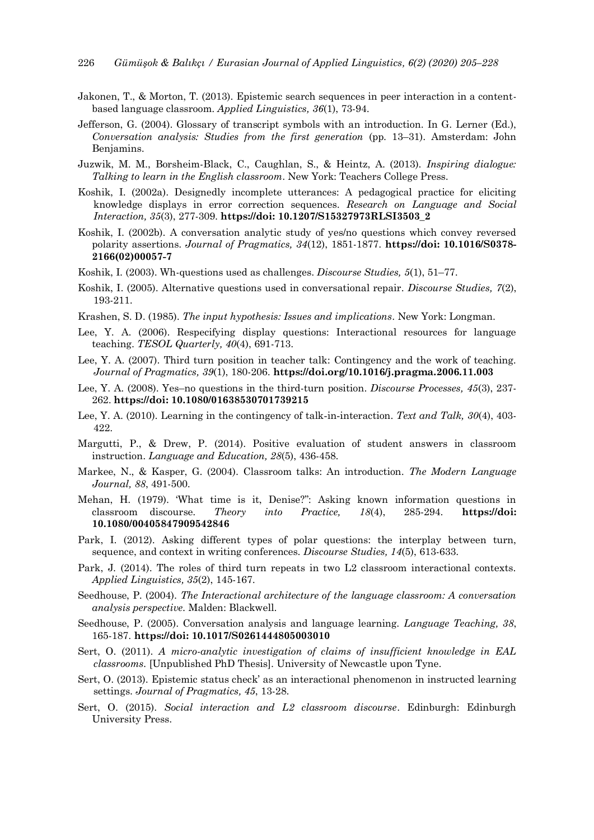- Jakonen, T., & Morton, T. (2013). Epistemic search sequences in peer interaction in a contentbased language classroom. *Applied Linguistics, 36*(1), 73-94.
- Jefferson, G. (2004). Glossary of transcript symbols with an introduction. In G. Lerner (Ed.), *Conversation analysis: Studies from the first generation* (pp. 13–31). Amsterdam: John Benjamins.
- Juzwik, M. M., Borsheim-Black, C., Caughlan, S., & Heintz, A. (2013). *Inspiring dialogue: Talking to learn in the English classroom*. New York: Teachers College Press.
- Koshik, I. (2002a). Designedly incomplete utterances: A pedagogical practice for eliciting knowledge displays in error correction sequences. *Research on Language and Social Interaction, 35*(3), 277-309. **https://doi: 10.1207/S15327973RLSI3503\_2**
- Koshik, I. (2002b). A conversation analytic study of yes/no questions which convey reversed polarity assertions. *Journal of Pragmatics, 34*(12), 1851-1877. **https://doi: 10.1016/S0378- 2166(02)00057-7**
- Koshik, I. (2003). Wh-questions used as challenges. *Discourse Studies, 5*(1), 51–77.
- Koshik, I. (2005). Alternative questions used in conversational repair. *Discourse Studies, 7*(2), 193-211.
- Krashen, S. D. (1985). *The input hypothesis: Issues and implications*. New York: Longman.
- Lee, Y. A. (2006). Respecifying display questions: Interactional resources for language teaching. *TESOL Quarterly, 40*(4), 691-713.
- Lee, Y. A. (2007). Third turn position in teacher talk: Contingency and the work of teaching. *Journal of Pragmatics, 39*(1), 180-206. **https://doi.org/10.1016/j.pragma.2006.11.003**
- Lee, Y. A. (2008). Yes–no questions in the third-turn position. *Discourse Processes, 45*(3), 237- 262. **https://doi: 10.1080/01638530701739215**
- Lee, Y. A. (2010). Learning in the contingency of talk‐in‐interaction. *Text and Talk, 30*(4), 403- 422.
- Margutti, P., & Drew, P. (2014). Positive evaluation of student answers in classroom instruction. *Language and Education, 28*(5), 436-458.
- Markee, N., & Kasper, G. (2004). Classroom talks: An introduction. *The Modern Language Journal, 88*, 491-500.
- Mehan, H. (1979). 'What time is it, Denise?": Asking known information questions in classroom discourse. *Theory into Practice, 18*(4), 285-294. **https://doi: 10.1080/00405847909542846**
- Park, I. (2012). Asking different types of polar questions: the interplay between turn, sequence, and context in writing conferences. *Discourse Studies, 14*(5), 613-633.
- Park, J. (2014). The roles of third turn repeats in two L2 classroom interactional contexts. *Applied Linguistics, 35*(2), 145-167.
- Seedhouse, P. (2004). *The Interactional architecture of the language classroom: A conversation analysis perspective.* Malden: Blackwell.
- Seedhouse, P. (2005). Conversation analysis and language learning. *Language Teaching, 38*, 165-187. **https://doi: 10.1017/S0261444805003010**
- Sert, O. (2011). *A micro-analytic investigation of claims of insufficient knowledge in EAL classrooms.* [Unpublished PhD Thesis]. University of Newcastle upon Tyne.
- Sert, O. (2013). Epistemic status check' as an interactional phenomenon in instructed learning settings. *Journal of Pragmatics, 45*, 13-28.
- Sert, O. (2015). *Social interaction and L2 classroom discourse*. Edinburgh: Edinburgh University Press.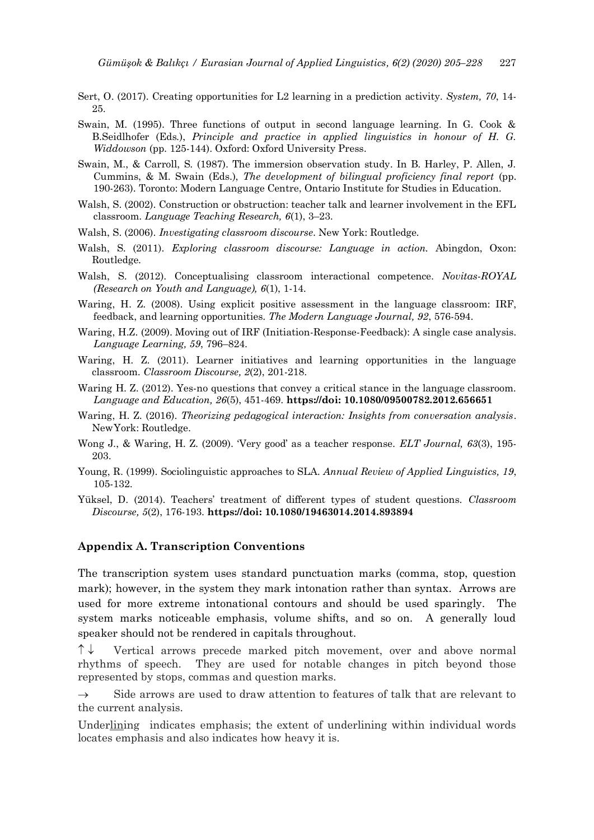- Sert, O. (2017). Creating opportunities for L2 learning in a prediction activity. *System, 70*, 14- 25.
- Swain, M. (1995). Three functions of output in second language learning. In G. Cook & B.Seidlhofer (Eds.), *Principle and practice in applied linguistics in honour of H. G. Widdowson* (pp. 125-144). Oxford: Oxford University Press.
- Swain, M., & Carroll, S. (1987). The immersion observation study. In B. Harley, P. Allen, J. Cummins, & M. Swain (Eds.), *The development of bilingual proficiency final report* (pp. 190-263). Toronto: Modern Language Centre, Ontario Institute for Studies in Education.
- Walsh, S. (2002). Construction or obstruction: teacher talk and learner involvement in the EFL classroom. *Language Teaching Research, 6*(1), 3–23.
- Walsh, S. (2006). *Investigating classroom discourse*. New York: Routledge.
- Walsh, S. (2011). *Exploring classroom discourse: Language in action.* Abingdon, Oxon: Routledge.
- Walsh, S. (2012). Conceptualising classroom interactional competence. *Novitas-ROYAL (Research on Youth and Language), 6*(1), 1-14.
- Waring, H. Z. (2008). Using explicit positive assessment in the language classroom: IRF, feedback, and learning opportunities. *The Modern Language Journal, 92*, 576-594.
- Waring, H.Z. (2009). Moving out of IRF (Initiation-Response-Feedback): A single case analysis. *Language Learning, 59*, 796–824.
- Waring, H. Z. (2011). Learner initiatives and learning opportunities in the language classroom. *Classroom Discourse, 2*(2), 201-218.
- Waring H. Z. (2012). Yes-no questions that convey a critical stance in the language classroom. *Language and Education, 26*(5), 451-469. **https://doi: 10.1080/09500782.2012.656651**
- Waring, H. Z. (2016). *Theorizing pedagogical interaction: Insights from conversation analysis*. NewYork: Routledge.
- Wong J., & Waring, H. Z. (2009). 'Very good' as a teacher response. *ELT Journal, 63*(3), 195- 203.
- Young, R. (1999). Sociolinguistic approaches to SLA. *Annual Review of Applied Linguistics, 19*, 105-132.
- Yüksel, D. (2014). Teachers' treatment of different types of student questions. *Classroom Discourse, 5*(2), 176-193. **https://doi: 10.1080/19463014.2014.893894**

# **Appendix A. Transcription Conventions**

The transcription system uses standard punctuation marks (comma, stop, question mark); however, in the system they mark intonation rather than syntax. Arrows are used for more extreme intonational contours and should be used sparingly. The system marks noticeable emphasis, volume shifts, and so on. A generally loud speaker should not be rendered in capitals throughout.

 $\uparrow \downarrow$  Vertical arrows precede marked pitch movement, over and above normal rhythms of speech. They are used for notable changes in pitch beyond those represented by stops, commas and question marks.

 $\rightarrow$  Side arrows are used to draw attention to features of talk that are relevant to the current analysis.

Underlining indicates emphasis; the extent of underlining within individual words locates emphasis and also indicates how heavy it is.